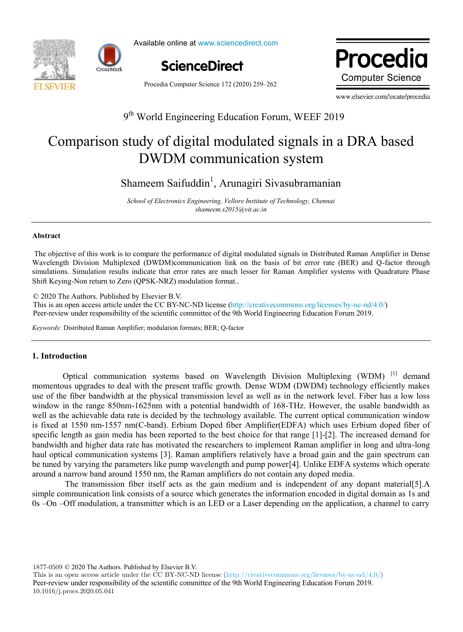



Available online at www.sciencedirect.com ScienceDirect



Procedia Computer Science 172 (2020) 259–262

Procedia **Computer Science** 

www.elsevier.com/locate/procedia

# 9<sup>th</sup> World Engineering Education Forum, WEEF 2019

# Comparison study of digital modulated signals in a DRA based DWDM communication system

Shameem Saifuddin<sup>1</sup>, Arunagiri Sivasubramanian

*School of Electronics Engineering, Vellore Institute of Technology, Chennai shameem.s2015@vit.ac.in* 

#### **Abstract**

The objective of this work is to compare the performance of digital modulated signals in Distributed Raman Amplifier in Dense Wavelength Division Multiplexed (DWDM)communication link on the basis of bit error rate (BER) and Q-factor through simulations. Simulation results indicate that error rates are much lesser for Raman Amplifier systems with Quadrature Phase Shift Keying-Non return to Zero (QPSK-NRZ) modulation format..

© 2020 The Authors. Published by Elsevier B.V. This is an open access article under the CC BY-NC-ND license (http://creativecommons.org/licenses/by-nc-nd/4.0/) Peer-review under responsibility of the scientific committee of the 9th World Engineering Education Forum 2019.

*Keywords:* Distributed Raman Amplifier; modulation formats; BER; Q-factor

## **1. Introduction**

Optical communication systems based on Wavelength Division Multiplexing (WDM)  $^{[1]}$  demand momentous upgrades to deal with the present traffic growth. Dense WDM (DWDM) technology efficiently makes use of the fiber bandwidth at the physical transmission level as well as in the network level. Fiber has a low loss window in the range 850nm-1625nm with a potential bandwidth of 168-THz. However, the usable bandwidth as well as the achievable data rate is decided by the technology available. The current optical communication window is fixed at 1550 nm-1557 nm(C-band). Erbium Doped fiber Amplifier(EDFA) which uses Erbium doped fiber of specific length as gain media has been reported to the best choice for that range [1]-[2]. The increased demand for bandwidth and higher data rate has motivated the researchers to implement Raman amplifier in long and ultra-long haul optical communication systems [3]. Raman amplifiers relatively have a broad gain and the gain spectrum can be tuned by varying the parameters like pump wavelength and pump power[4]. Unlike EDFA systems which operate around a narrow band around 1550 nm, the Raman amplifiers do not contain any doped media.

The transmission fiber itself acts as the gain medium and is independent of any dopant material[5].A simple communication link consists of a source which generates the information encoded in digital domain as 1s and 0s –On –Off modulation, a transmitter which is an LED or a Laser depending on the application, a channel to carry

1877-0509 © 2020 The Authors. Published by Elsevier B.V.

This is an open access article under the CC BY-NC-ND license (http://creativecommons.org/licenses/by-nc-nd/4.0/) Peer-review under responsibility of the scientific committee of the 9th World Engineering Education Forum 2019. 10.1016/j.procs.2020.05.041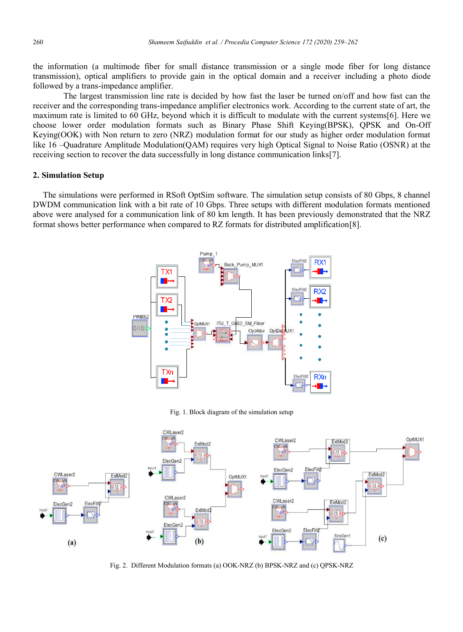the information (a multimode fiber for small distance transmission or a single mode fiber for long distance transmission), optical amplifiers to provide gain in the optical domain and a receiver including a photo diode followed by a trans-impedance amplifier.

The largest transmission line rate is decided by how fast the laser be turned on/off and how fast can the receiver and the corresponding trans-impedance amplifier electronics work. According to the current state of art, the maximum rate is limited to 60 GHz, beyond which it is difficult to modulate with the current systems[6]. Here we choose lower order modulation formats such as Binary Phase Shift Keying(BPSK), QPSK and On-Off Keying(OOK) with Non return to zero (NRZ) modulation format for our study as higher order modulation format like 16 –Quadrature Amplitude Modulation(QAM) requires very high Optical Signal to Noise Ratio (OSNR) at the receiving section to recover the data successfully in long distance communication links[7].

#### **2. Simulation Setup**

The simulations were performed in RSoft OptSim software. The simulation setup consists of 80 Gbps, 8 channel DWDM communication link with a bit rate of 10 Gbps. Three setups with different modulation formats mentioned above were analysed for a communication link of 80 km length. It has been previously demonstrated that the NRZ format shows better performance when compared to RZ formats for distributed amplification[8].



Fig. 1. Block diagram of the simulation setup



Fig. 2. Different Modulation formats (a) OOK-NRZ (b) BPSK-NRZ and (c) QPSK-NRZ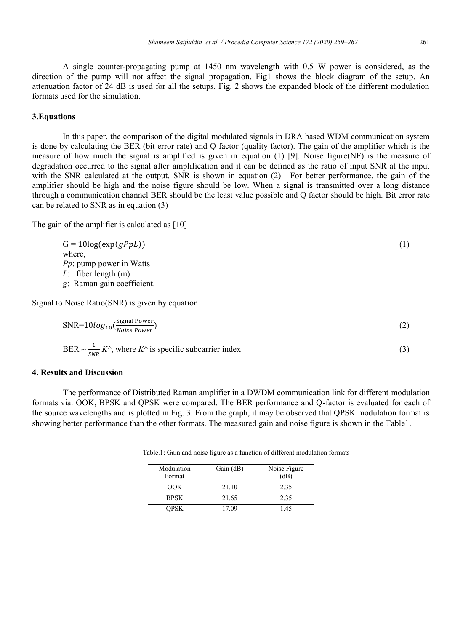A single counter-propagating pump at 1450 nm wavelength with 0.5 W power is considered, as the direction of the pump will not affect the signal propagation. Fig1 shows the block diagram of the setup. An attenuation factor of 24 dB is used for all the setups. Fig. 2 shows the expanded block of the different modulation formats used for the simulation.

## **3.Equations**

In this paper, the comparison of the digital modulated signals in DRA based WDM communication system is done by calculating the BER (bit error rate) and Q factor (quality factor). The gain of the amplifier which is the measure of how much the signal is amplified is given in equation (1) [9]. Noise figure(NF) is the measure of degradation occurred to the signal after amplification and it can be defined as the ratio of input SNR at the input with the SNR calculated at the output. SNR is shown in equation (2). For better performance, the gain of the amplifier should be high and the noise figure should be low. When a signal is transmitted over a long distance through a communication channel BER should be the least value possible and Q factor should be high. Bit error rate can be related to SNR as in equation (3)

The gain of the amplifier is calculated as [10]

 $G = 10\log(\exp(qPpL))$  (1) where, *Pp*: pump power in Watts *L*: fiber length (m) *g*: Raman gain coefficient.

Signal to Noise Ratio(SNR) is given by equation

$$
SNR = 10log_{10} \left( \frac{Signal Power}{Noise Power} \right) \tag{2}
$$

$$
BER \sim \frac{1}{SNR} K^{\wedge}
$$
, where  $K^{\wedge}$  is specific subcarrier index (3)

#### **4. Results and Discussion**

The performance of Distributed Raman amplifier in a DWDM communication link for different modulation formats via. OOK, BPSK and QPSK were compared. The BER performance and Q-factor is evaluated for each of the source wavelengths and is plotted in Fig. 3. From the graph, it may be observed that QPSK modulation format is showing better performance than the other formats. The measured gain and noise figure is shown in the Table1.

| Modulation<br>Format | Gain (dB) | Noise Figure<br>(dB) |
|----------------------|-----------|----------------------|
| OOK                  | 21.10     | 2.35                 |
| <b>BPSK</b>          | 21.65     | 2.35                 |
| <b>OPSK</b>          | 17.09     | 145                  |

Table.1: Gain and noise figure as a function of different modulation formats